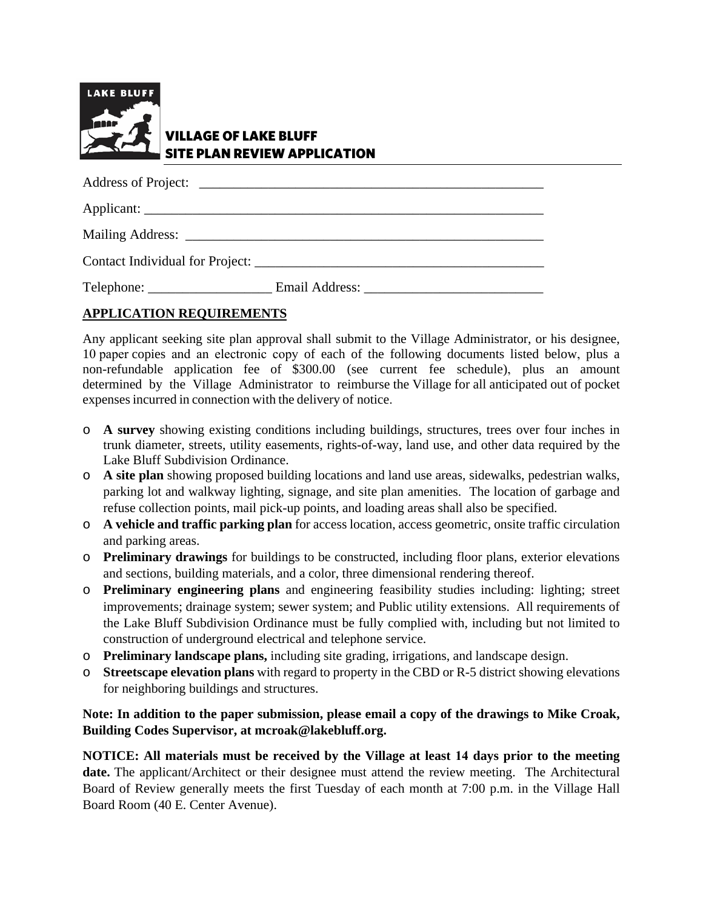

## VILLAGE OF LAKE BLUFF SITE PLAN REVIEW APPLICATION

Address of Project: Applicant: \_\_\_\_\_\_\_\_\_\_\_\_\_\_\_\_\_\_\_\_\_\_\_\_\_\_\_\_\_\_\_\_\_\_\_\_\_\_\_\_\_\_\_\_\_\_\_\_\_\_\_\_\_\_\_\_\_\_ Mailing Address: Contact Individual for Project: \_\_\_\_\_\_\_\_\_\_\_\_\_\_\_\_\_\_\_\_\_\_\_\_\_\_\_\_\_\_\_\_\_\_\_\_\_\_\_\_\_\_ Telephone: \_\_\_\_\_\_\_\_\_\_\_\_\_\_\_\_\_\_\_\_\_\_\_ Email Address: \_\_\_\_\_\_\_\_\_\_\_\_\_\_\_\_\_\_\_\_\_\_\_\_\_\_\_\_\_\_

## **APPLICATION REQUIREMENTS**

Any applicant seeking site plan approval shall submit to the Village Administrator, or his designee, 10 paper copies and an electronic copy of each of the following documents listed below, plus a non-refundable application fee of \$300.00 (see current fee schedule), plus an amount determined by the Village Administrator to reimburse the Village for all anticipated out of pocket expenses incurred in connection with the delivery of notice.

- o **A survey** showing existing conditions including buildings, structures, trees over four inches in trunk diameter, streets, utility easements, rights-of-way, land use, and other data required by the Lake Bluff Subdivision Ordinance.
- o **A site plan** showing proposed building locations and land use areas, sidewalks, pedestrian walks, parking lot and walkway lighting, signage, and site plan amenities. The location of garbage and refuse collection points, mail pick-up points, and loading areas shall also be specified.
- o **A vehicle and traffic parking plan** for access location, access geometric, onsite traffic circulation and parking areas.
- o **Preliminary drawings** for buildings to be constructed, including floor plans, exterior elevations and sections, building materials, and a color, three dimensional rendering thereof.
- o **Preliminary engineering plans** and engineering feasibility studies including: lighting; street improvements; drainage system; sewer system; and Public utility extensions. All requirements of the Lake Bluff Subdivision Ordinance must be fully complied with, including but not limited to construction of underground electrical and telephone service.
- o **Preliminary landscape plans,** including site grading, irrigations, and landscape design.
- o **Streetscape elevation plans** with regard to property in the CBD or R-5 district showing elevations for neighboring buildings and structures.

## **Note: In addition to the paper submission, please email a copy of the drawings to Mike Croak, Building Codes Supervisor, at mcroak@lakebluff.org.**

**NOTICE: All materials must be received by the Village at least 14 days prior to the meeting date.** The applicant/Architect or their designee must attend the review meeting. The Architectural Board of Review generally meets the first Tuesday of each month at 7:00 p.m. in the Village Hall Board Room (40 E. Center Avenue).